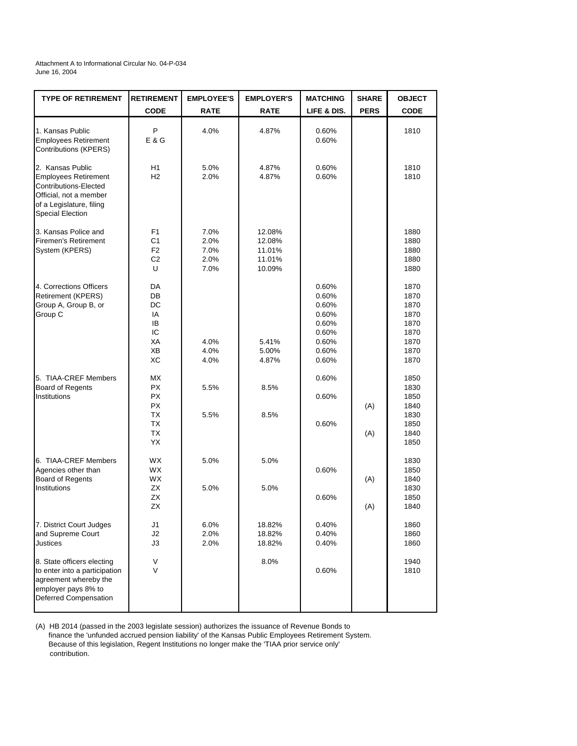Attachment A to Informational Circular No. 04-P-034 June 16, 2004

| <b>TYPE OF RETIREMENT</b>                                                                                                                                 | <b>RETIREMENT</b>                                                         | <b>EMPLOYEE'S</b>                    | <b>EMPLOYER'S</b>                              | <b>MATCHING</b>                                                               | <b>SHARE</b> | <b>OBJECT</b>                                                        |
|-----------------------------------------------------------------------------------------------------------------------------------------------------------|---------------------------------------------------------------------------|--------------------------------------|------------------------------------------------|-------------------------------------------------------------------------------|--------------|----------------------------------------------------------------------|
|                                                                                                                                                           | <b>CODE</b>                                                               | <b>RATE</b>                          | <b>RATE</b>                                    | LIFE & DIS.                                                                   | <b>PERS</b>  | <b>CODE</b>                                                          |
| 1. Kansas Public<br><b>Employees Retirement</b><br>Contributions (KPERS)                                                                                  | P<br>E & G                                                                | 4.0%                                 | 4.87%                                          | 0.60%<br>0.60%                                                                |              | 1810                                                                 |
| 2. Kansas Public<br><b>Employees Retirement</b><br>Contributions-Elected<br>Official, not a member<br>of a Legislature, filing<br><b>Special Election</b> | H1<br>H <sub>2</sub>                                                      | 5.0%<br>2.0%                         | 4.87%<br>4.87%                                 | 0.60%<br>0.60%                                                                |              | 1810<br>1810                                                         |
| 3. Kansas Police and<br><b>Firemen's Retirement</b><br>System (KPERS)                                                                                     | F <sub>1</sub><br>C <sub>1</sub><br>F <sub>2</sub><br>C <sub>2</sub><br>U | 7.0%<br>2.0%<br>7.0%<br>2.0%<br>7.0% | 12.08%<br>12.08%<br>11.01%<br>11.01%<br>10.09% |                                                                               |              | 1880<br>1880<br>1880<br>1880<br>1880                                 |
| 4. Corrections Officers<br><b>Retirement (KPERS)</b><br>Group A, Group B, or<br>Group C                                                                   | DA<br>DB<br>DC<br>IA<br>IB<br>IC<br>XA<br>ХB<br>ХC                        | 4.0%<br>4.0%<br>4.0%                 | 5.41%<br>5.00%<br>4.87%                        | 0.60%<br>0.60%<br>0.60%<br>0.60%<br>0.60%<br>0.60%<br>0.60%<br>0.60%<br>0.60% |              | 1870<br>1870<br>1870<br>1870<br>1870<br>1870<br>1870<br>1870<br>1870 |
| 5. TIAA-CREF Members<br><b>Board of Regents</b><br>Institutions                                                                                           | МX<br><b>PX</b><br><b>PX</b><br>PX<br><b>TX</b><br>ТX<br>TX<br>YX         | 5.5%<br>5.5%                         | 8.5%<br>8.5%                                   | 0.60%<br>0.60%<br>0.60%                                                       | (A)<br>(A)   | 1850<br>1830<br>1850<br>1840<br>1830<br>1850<br>1840<br>1850         |
| 6. TIAA-CREF Members<br>Agencies other than<br><b>Board of Regents</b><br>Institutions                                                                    | <b>WX</b><br><b>WX</b><br><b>WX</b><br>ΖX<br>ZX<br>ΖX                     | 5.0%<br>5.0%                         | 5.0%<br>5.0%                                   | 0.60%<br>0.60%                                                                | (A)<br>(A)   | 1830<br>1850<br>1840<br>1830<br>1850<br>1840                         |
| 7. District Court Judges<br>and Supreme Court<br><b>Justices</b>                                                                                          | J1<br>J2<br>JЗ                                                            | 6.0%<br>2.0%<br>2.0%                 | 18.82%<br>18.82%<br>18.82%                     | 0.40%<br>0.40%<br>0.40%                                                       |              | 1860<br>1860<br>1860                                                 |
| 8. State officers electing<br>to enter into a participation<br>agreement whereby the<br>employer pays 8% to<br>Deferred Compensation                      | V<br>V                                                                    |                                      | 8.0%                                           | 0.60%                                                                         |              | 1940<br>1810                                                         |

(A) HB 2014 (passed in the 2003 legislate session) authorizes the issuance of Revenue Bonds to finance the 'unfunded accrued pension liability' of the Kansas Public Employees Retirement System. Because of this legislation, Regent Institutions no longer make the 'TIAA prior service only' contribution.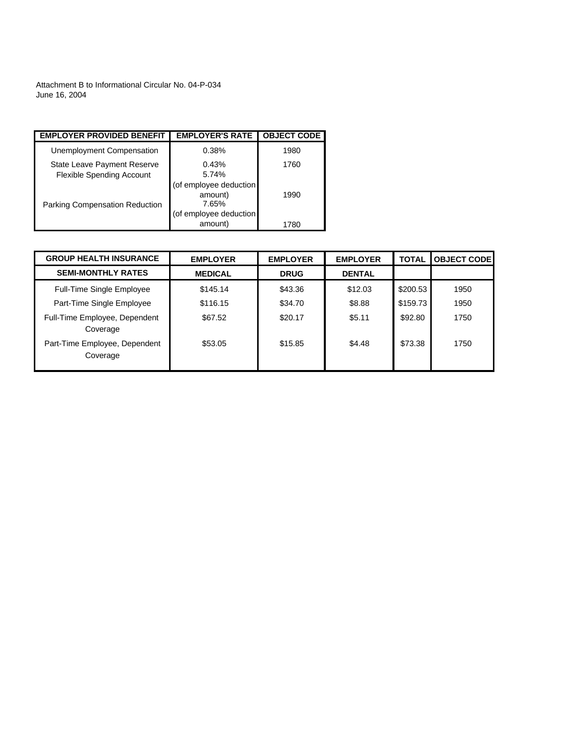Attachment B to Informational Circular No. 04-P-034 June 16, 2004

| <b>EMPLOYER PROVIDED BENEFIT</b>                                | <b>EMPLOYER'S RATE</b>                     | <b>OBJECT CODE</b> |
|-----------------------------------------------------------------|--------------------------------------------|--------------------|
| Unemployment Compensation                                       | 0.38%                                      | 1980               |
| State Leave Payment Reserve<br><b>Flexible Spending Account</b> | 0.43%<br>5.74%                             | 1760               |
| <b>Parking Compensation Reduction</b>                           | (of employee deduction<br>amount)<br>7.65% | 1990               |
|                                                                 | (of employee deduction<br>amount)          | 1780               |

| <b>GROUP HEALTH INSURANCE</b>             | <b>EMPLOYER</b> | <b>EMPLOYER</b> | <b>EMPLOYER</b> | <b>TOTAL</b> | <b>OBJECT CODEI</b> |
|-------------------------------------------|-----------------|-----------------|-----------------|--------------|---------------------|
| <b>SEMI-MONTHLY RATES</b>                 | <b>MEDICAL</b>  | <b>DRUG</b>     | <b>DENTAL</b>   |              |                     |
| <b>Full-Time Single Employee</b>          | \$145.14        | \$43.36         | \$12.03         | \$200.53     | 1950                |
| Part-Time Single Employee                 | \$116.15        | \$34.70         | \$8.88          | \$159.73     | 1950                |
| Full-Time Employee, Dependent<br>Coverage | \$67.52         | \$20.17         | \$5.11          | \$92.80      | 1750                |
| Part-Time Employee, Dependent<br>Coverage | \$53.05         | \$15.85         | \$4.48          | \$73.38      | 1750                |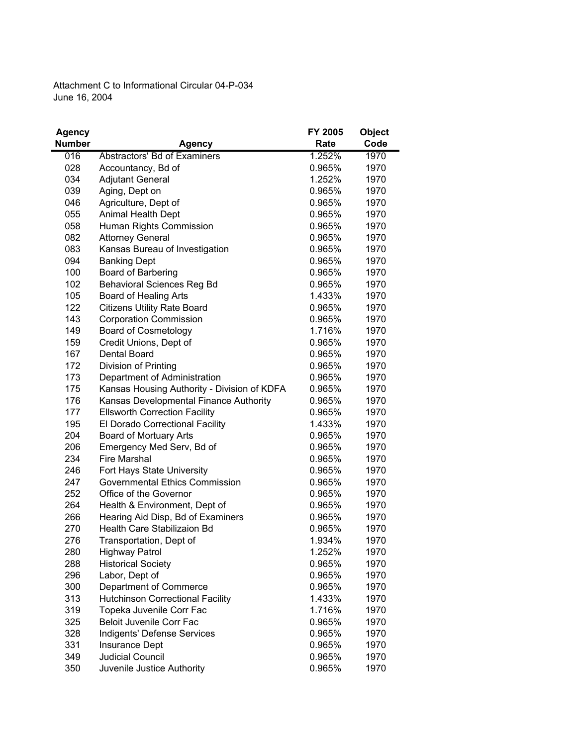Attachment C to Informational Circular 04-P-034 June 16, 2004

| <b>Agency</b> |                                             | FY 2005 | <b>Object</b> |
|---------------|---------------------------------------------|---------|---------------|
| <b>Number</b> | <b>Agency</b>                               | Rate    | Code          |
| 016           | Abstractors' Bd of Examiners                | 1.252%  | 1970          |
| 028           | Accountancy, Bd of                          | 0.965%  | 1970          |
| 034           | <b>Adjutant General</b>                     | 1.252%  | 1970          |
| 039           | Aging, Dept on                              | 0.965%  | 1970          |
| 046           | Agriculture, Dept of                        | 0.965%  | 1970          |
| 055           | <b>Animal Health Dept</b>                   | 0.965%  | 1970          |
| 058           | Human Rights Commission                     | 0.965%  | 1970          |
| 082           | <b>Attorney General</b>                     | 0.965%  | 1970          |
| 083           | Kansas Bureau of Investigation              | 0.965%  | 1970          |
| 094           | <b>Banking Dept</b>                         | 0.965%  | 1970          |
| 100           | Board of Barbering                          | 0.965%  | 1970          |
| 102           | <b>Behavioral Sciences Reg Bd</b>           | 0.965%  | 1970          |
| 105           | Board of Healing Arts                       | 1.433%  | 1970          |
| 122           | <b>Citizens Utility Rate Board</b>          | 0.965%  | 1970          |
| 143           | <b>Corporation Commission</b>               | 0.965%  | 1970          |
| 149           | <b>Board of Cosmetology</b>                 | 1.716%  | 1970          |
| 159           | Credit Unions, Dept of                      | 0.965%  | 1970          |
| 167           | Dental Board                                | 0.965%  | 1970          |
| 172           | Division of Printing                        | 0.965%  | 1970          |
| 173           | Department of Administration                | 0.965%  | 1970          |
| 175           | Kansas Housing Authority - Division of KDFA | 0.965%  | 1970          |
| 176           | Kansas Developmental Finance Authority      | 0.965%  | 1970          |
| 177           | <b>Ellsworth Correction Facility</b>        | 0.965%  | 1970          |
| 195           | El Dorado Correctional Facility             | 1.433%  | 1970          |
| 204           | <b>Board of Mortuary Arts</b>               | 0.965%  | 1970          |
| 206           | Emergency Med Serv, Bd of                   | 0.965%  | 1970          |
| 234           | <b>Fire Marshal</b>                         | 0.965%  | 1970          |
| 246           | Fort Hays State University                  | 0.965%  | 1970          |
| 247           | Governmental Ethics Commission              | 0.965%  | 1970          |
| 252           | Office of the Governor                      | 0.965%  | 1970          |
| 264           | Health & Environment, Dept of               | 0.965%  | 1970          |
| 266           | Hearing Aid Disp, Bd of Examiners           | 0.965%  | 1970          |
| 270           | Health Care Stabilizaion Bd                 | 0.965%  | 1970          |
| 276           | Transportation, Dept of                     | 1.934%  | 1970          |
| 280           | <b>Highway Patrol</b>                       | 1.252%  | 1970          |
| 288           | <b>Historical Society</b>                   | 0.965%  | 1970          |
| 296           | Labor, Dept of                              | 0.965%  | 1970          |
| 300           | Department of Commerce                      | 0.965%  | 1970          |
| 313           | <b>Hutchinson Correctional Facility</b>     | 1.433%  | 1970          |
| 319           | Topeka Juvenile Corr Fac                    | 1.716%  | 1970          |
| 325           | Beloit Juvenile Corr Fac                    | 0.965%  | 1970          |
| 328           | Indigents' Defense Services                 | 0.965%  | 1970          |
| 331           | Insurance Dept                              | 0.965%  | 1970          |
| 349           | <b>Judicial Council</b>                     | 0.965%  | 1970          |
| 350           | Juvenile Justice Authority                  | 0.965%  | 1970          |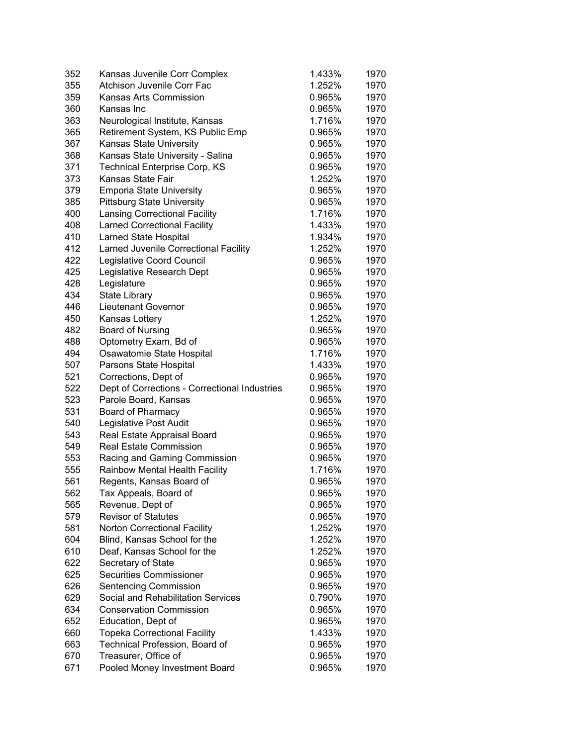| 352 | Kansas Juvenile Corr Complex                  | 1.433% | 1970 |
|-----|-----------------------------------------------|--------|------|
| 355 | <b>Atchison Juvenile Corr Fac</b>             | 1.252% | 1970 |
| 359 | <b>Kansas Arts Commission</b>                 | 0.965% | 1970 |
| 360 | Kansas Inc                                    | 0.965% | 1970 |
| 363 | Neurological Institute, Kansas                | 1.716% | 1970 |
| 365 | Retirement System, KS Public Emp              | 0.965% | 1970 |
| 367 | Kansas State University                       | 0.965% | 1970 |
| 368 | Kansas State University - Salina              | 0.965% | 1970 |
| 371 | <b>Technical Enterprise Corp, KS</b>          | 0.965% | 1970 |
| 373 | Kansas State Fair                             | 1.252% | 1970 |
| 379 | <b>Emporia State University</b>               | 0.965% | 1970 |
| 385 | <b>Pittsburg State University</b>             | 0.965% | 1970 |
| 400 | <b>Lansing Correctional Facility</b>          | 1.716% | 1970 |
| 408 | <b>Larned Correctional Facility</b>           | 1.433% | 1970 |
| 410 | Larned State Hospital                         | 1.934% | 1970 |
| 412 | Larned Juvenile Correctional Facility         | 1.252% | 1970 |
| 422 | Legislative Coord Council                     | 0.965% | 1970 |
| 425 | Legislative Research Dept                     | 0.965% | 1970 |
| 428 | Legislature                                   | 0.965% | 1970 |
| 434 | <b>State Library</b>                          | 0.965% | 1970 |
| 446 | Lieutenant Governor                           | 0.965% | 1970 |
| 450 | Kansas Lottery                                | 1.252% | 1970 |
| 482 | <b>Board of Nursing</b>                       | 0.965% | 1970 |
| 488 | Optometry Exam, Bd of                         | 0.965% | 1970 |
| 494 | Osawatomie State Hospital                     | 1.716% | 1970 |
| 507 | Parsons State Hospital                        | 1.433% | 1970 |
| 521 |                                               | 0.965% | 1970 |
| 522 | Corrections, Dept of                          | 0.965% | 1970 |
| 523 | Dept of Corrections - Correctional Industries | 0.965% | 1970 |
|     | Parole Board, Kansas                          |        |      |
| 531 | Board of Pharmacy                             | 0.965% | 1970 |
| 540 | Legislative Post Audit                        | 0.965% | 1970 |
| 543 | Real Estate Appraisal Board                   | 0.965% | 1970 |
| 549 | <b>Real Estate Commission</b>                 | 0.965% | 1970 |
| 553 | Racing and Gaming Commission                  | 0.965% | 1970 |
| 555 | Rainbow Mental Health Facility                | 1.716% | 1970 |
| 561 | Regents, Kansas Board of                      | 0.965% | 1970 |
| 562 | Tax Appeals, Board of                         | 0.965% | 1970 |
| 565 | Revenue, Dept of                              | 0.965% | 1970 |
| 579 | <b>Revisor of Statutes</b>                    | 0.965% | 1970 |
| 581 | Norton Correctional Facility                  | 1.252% | 1970 |
| 604 | Blind, Kansas School for the                  | 1.252% | 1970 |
| 610 | Deaf, Kansas School for the                   | 1.252% | 1970 |
| 622 | Secretary of State                            | 0.965% | 1970 |
| 625 | <b>Securities Commissioner</b>                | 0.965% | 1970 |
| 626 | <b>Sentencing Commission</b>                  | 0.965% | 1970 |
| 629 | Social and Rehabilitation Services            | 0.790% | 1970 |
| 634 | <b>Conservation Commission</b>                | 0.965% | 1970 |
| 652 | Education, Dept of                            | 0.965% | 1970 |
| 660 | <b>Topeka Correctional Facility</b>           | 1.433% | 1970 |
| 663 | Technical Profession, Board of                | 0.965% | 1970 |
| 670 | Treasurer, Office of                          | 0.965% | 1970 |
| 671 | Pooled Money Investment Board                 | 0.965% | 1970 |